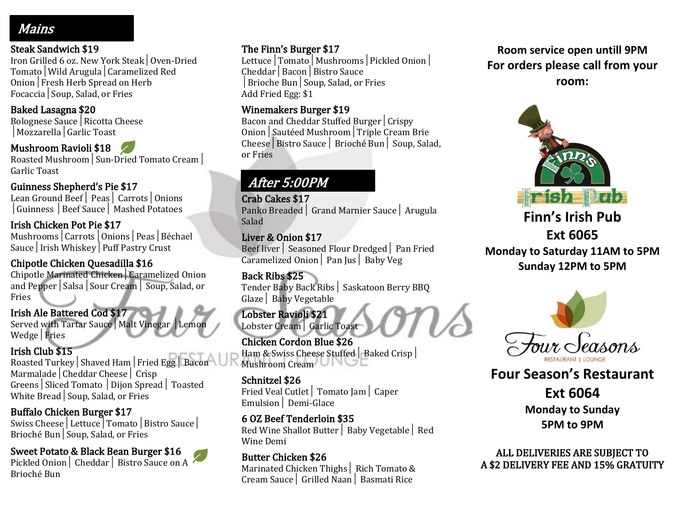# Mains

#### Steak Sandwich \$19

Iron Grilled 6 oz. New York Steak│Oven-Dried Tomato│Wild Arugula│Caramelized Red Onion│Fresh Herb Spread on Herb Focaccia│Soup, Salad, or Fries

#### Baked Lasagna \$20

Bolognese Sauce│Ricotta Cheese │Mozzarella│Garlic Toast

#### Mushroom Ravioli \$18

Roasted Mushroom│Sun-Dried Tomato Cream│ Garlic Toast

## Guinness Shepherd's Pie \$17

Lean Ground Beef│ Peas│ Carrots│Onions │Guinness │Beef Sauce│ Mashed Potatoes

### Irish Chicken Pot Pie \$17

Mushrooms│Carrots│Onions│Peas│Béchael Sauce│Irish Whiskey│Puff Pastry Crust

### Chipotle Chicken Quesadilla \$16

Chipotle Marinated Chicken│Caramelized Onion and Pepper│Salsa│Sour Cream│ Soup, Salad, or Fries

### Irish Ale Battered Cod \$17

Served with Tartar Sauce│Malt Vinegar │Lemon Wedge│Fries

## Irish Club \$15

Roasted Turkey│Shaved Ham│Fried Egg│ Bacon Marmalade│Cheddar Cheese│ Crisp Greens│Sliced Tomato │Dijon Spread│ Toasted White Bread│Soup, Salad, or Fries

#### Buffalo Chicken Burger \$17

Swiss Cheese│Lettuce│Tomato│Bistro Sauce│ Brioché Bun│Soup, Salad, or Fries

## Sweet Potato & Black Bean Burger \$16

Pickled Onion│ Cheddar│ Bistro Sauce on A Brioché Bun

## The Finn's Burger \$17

Lettuce│Tomato│Mushrooms│Pickled Onion│ Cheddar│Bacon│Bistro Sauce │Brioche Bun│Soup, Salad, or Fries Add Fried Egg: \$1

### Winemakers Burger \$19

Bacon and Cheddar Stuffed Burger│Crispy Onion│Sautéed Mushroom│Triple Cream Brie Cheese│Bistro Sauce│ Brioché Bun│ Soup, Salad, or Fries

# After 5:00PM

Crab Cakes \$17 Panko Breaded│ Grand Marnier Sauce│ Arugula Salad

#### Liver & Onion \$17

Beef liver│ Seasoned Flour Dredged│ Pan Fried Caramelized Onion│ Pan Jus│ Baby Veg

Back Ribs \$25 Tender Baby Back Ribs│ Saskatoon Berry BBQ Glaze│ Baby Vegetable

#### Lobster Ravioli \$21 Lobster Cream│ Garlic Toast

Chicken Cordon Blue \$26 Ham & Swiss Cheese Stuffed│ Baked Crisp│ Mushroom Cream

#### Schnitzel \$26

Fried Veal Cutlet│ Tomato Jam│ Caper Emulsion│ Demi-Glace

#### 6 OZ Beef Tenderloin \$35 Red Wine Shallot Butter│ Baby Vegetable│ Red

Wine Demi

#### Butter Chicken \$26 Marinated Chicken Thighs│ Rich Tomato & Cream Sauce│ Grilled Naan│ Basmati Rice

**Room service open untill 9PM For orders please call from your room:**



**Finn's Irish Pub Ext 6065 Monday to Saturday 11AM to 5PM Sunday 12PM to 5PM**



**Four Season's Restaurant**

**Ext 6064 Monday to Sunday 5PM to 9PM**

ALL DELIVERIES ARE SUBJECT TO A \$2 DELIVERY FEE AND 15% GRATUITY